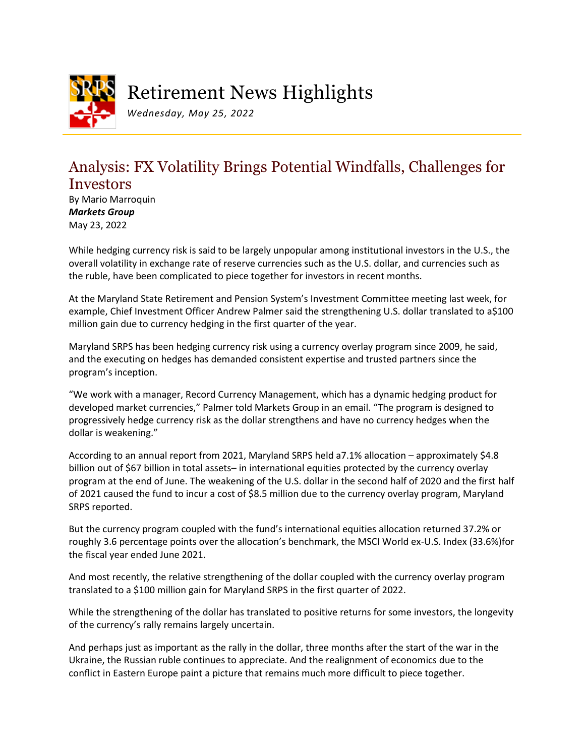

# Retirement News Highlights

*Wednesday, May 25, 2022*

## Analysis: FX Volatility Brings Potential Windfalls, Challenges for Investors

By Mario Marroquin *Markets Group* May 23, 2022

While hedging currency risk is said to be largely unpopular among institutional investors in the U.S., the overall volatility in exchange rate of reserve currencies such as the U.S. dollar, and currencies such as the ruble, have been complicated to piece together for investors in recent months.

At the Maryland State Retirement and Pension System's Investment Committee meeting last week, for example, Chief Investment Officer Andrew Palmer said the strengthening U.S. dollar translated to a\$100 million gain due to currency hedging in the first quarter of the year.

Maryland SRPS has been hedging currency risk using a currency overlay program since 2009, he said, and the executing on hedges has demanded consistent expertise and trusted partners since the program's inception.

"We work with a manager, Record Currency Management, which has a dynamic hedging product for developed market currencies," Palmer told Markets Group in an email. "The program is designed to progressively hedge currency risk as the dollar strengthens and have no currency hedges when the dollar is weakening."

According to an annual report from 2021, Maryland SRPS held a7.1% allocation – approximately \$4.8 billion out of \$67 billion in total assets– in international equities protected by the currency overlay program at the end of June. The weakening of the U.S. dollar in the second half of 2020 and the first half of 2021 caused the fund to incur a cost of \$8.5 million due to the currency overlay program, Maryland SRPS reported.

But the currency program coupled with the fund's international equities allocation returned 37.2% or roughly 3.6 percentage points over the allocation's benchmark, the MSCI World ex-U.S. Index (33.6%)for the fiscal year ended June 2021.

And most recently, the relative strengthening of the dollar coupled with the currency overlay program translated to a \$100 million gain for Maryland SRPS in the first quarter of 2022.

While the strengthening of the dollar has translated to positive returns for some investors, the longevity of the currency's rally remains largely uncertain.

And perhaps just as important as the rally in the dollar, three months after the start of the war in the Ukraine, the Russian ruble continues to appreciate. And the realignment of economics due to the conflict in Eastern Europe paint a picture that remains much more difficult to piece together.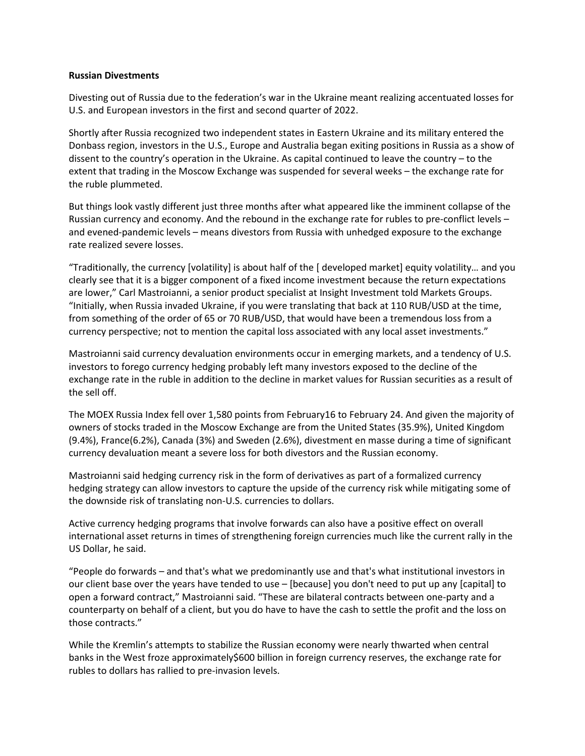#### **Russian Divestments**

Divesting out of Russia due to the federation's war in the Ukraine meant realizing accentuated losses for U.S. and European investors in the first and second quarter of 2022.

Shortly after Russia recognized two independent states in Eastern Ukraine and its military entered the Donbass region, investors in the U.S., Europe and Australia began exiting positions in Russia as a show of dissent to the country's operation in the Ukraine. As capital continued to leave the country – to the extent that trading in the Moscow Exchange was suspended for several weeks – the exchange rate for the ruble plummeted.

But things look vastly different just three months after what appeared like the imminent collapse of the Russian currency and economy. And the rebound in the exchange rate for rubles to pre-conflict levels – and evened-pandemic levels – means divestors from Russia with unhedged exposure to the exchange rate realized severe losses.

"Traditionally, the currency [volatility] is about half of the [ developed market] equity volatility… and you clearly see that it is a bigger component of a fixed income investment because the return expectations are lower," Carl Mastroianni, a senior product specialist at Insight Investment told Markets Groups. "Initially, when Russia invaded Ukraine, if you were translating that back at 110 RUB/USD at the time, from something of the order of 65 or 70 RUB/USD, that would have been a tremendous loss from a currency perspective; not to mention the capital loss associated with any local asset investments."

Mastroianni said currency devaluation environments occur in emerging markets, and a tendency of U.S. investors to forego currency hedging probably left many investors exposed to the decline of the exchange rate in the ruble in addition to the decline in market values for Russian securities as a result of the sell off.

The MOEX Russia Index fell over 1,580 points from February16 to February 24. And given the majority of owners of stocks traded in the Moscow Exchange are from the United States (35.9%), United Kingdom (9.4%), France(6.2%), Canada (3%) and Sweden (2.6%), divestment en masse during a time of significant currency devaluation meant a severe loss for both divestors and the Russian economy.

Mastroianni said hedging currency risk in the form of derivatives as part of a formalized currency hedging strategy can allow investors to capture the upside of the currency risk while mitigating some of the downside risk of translating non-U.S. currencies to dollars.

Active currency hedging programs that involve forwards can also have a positive effect on overall international asset returns in times of strengthening foreign currencies much like the current rally in the US Dollar, he said.

"People do forwards – and that's what we predominantly use and that's what institutional investors in our client base over the years have tended to use – [because] you don't need to put up any [capital] to open a forward contract," Mastroianni said. "These are bilateral contracts between one-party and a counterparty on behalf of a client, but you do have to have the cash to settle the profit and the loss on those contracts."

While the Kremlin's attempts to stabilize the Russian economy were nearly thwarted when central banks in the West froze approximately\$600 billion in foreign currency reserves, the exchange rate for rubles to dollars has rallied to pre-invasion levels.